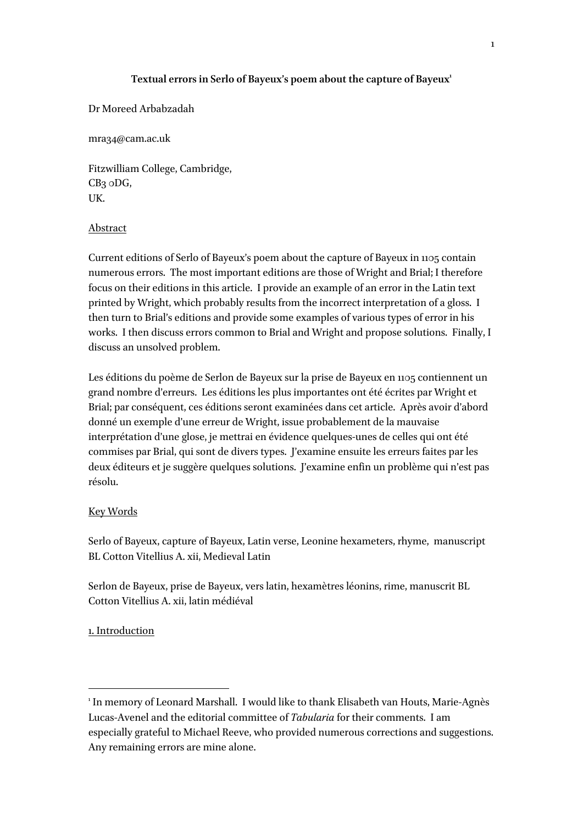## Textual errors in Serlo of Bayeux's poem about the capture of Bayeux<sup>1</sup>

Dr Moreed Arbabzadah

mra34@cam.ac.uk

Fitzwilliam College, Cambridge, CB3 0DG, UK.

### Abstract

Current editions of Serlo of Bayeux's poem about the capture of Bayeux in 1105 contain numerous errors. The most important editions are those of Wright and Brial; I therefore focus on their editions in this article. I provide an example of an error in the Latin text printed by Wright, which probably results from the incorrect interpretation of a gloss. I then turn to Brial's editions and provide some examples of various types of error in his works. I then discuss errors common to Brial and Wright and propose solutions. Finally, I discuss an unsolved problem.

Les éditions du poème de Serlon de Bayeux sur la prise de Bayeux en 1105 contiennent un grand nombre d'erreurs. Les éditions les plus importantes ont été écrites par Wright et Brial; par conséquent, ces éditions seront examinées dans cet article. Après avoir d'abord donné un exemple d'une erreur de Wright, issue probablement de la mauvaise interprétation d'une glose, je mettrai en évidence quelques-unes de celles qui ont été commises par Brial, qui sont de divers types. J'examine ensuite les erreurs faites par les deux éditeurs et je suggère quelques solutions. J'examine enfin un problème qui n'est pas résolu.

### Key Words

Serlo of Bayeux, capture of Bayeux, Latin verse, Leonine hexameters, rhyme, manuscript BL Cotton Vitellius A. xii, Medieval Latin

Serlon de Bayeux, prise de Bayeux, vers latin, hexamètres léonins, rime, manuscrit BL Cotton Vitellius A. xii, latin médiéval

### 1. Introduction

<sup>&</sup>lt;sup>1</sup> In memory of Leonard Marshall. I would like to thank Elisabeth van Houts, Marie-Agnès Lucas-Avenel and the editorial committee of *Tabularia* for their comments. I am especially grateful to Michael Reeve, who provided numerous corrections and suggestions. Any remaining errors are mine alone.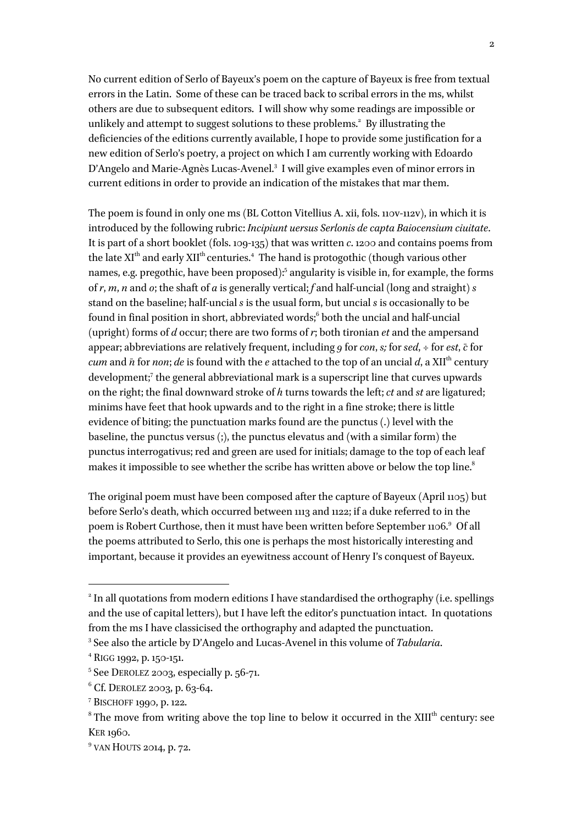No current edition of Serlo of Bayeux's poem on the capture of Bayeux is free from textual errors in the Latin. Some of these can be traced back to scribal errors in the ms, whilst others are due to subsequent editors. I will show why some readings are impossible or unlikely and attempt to suggest solutions to these problems.<sup>2</sup> By illustrating the deficiencies of the editions currently available, I hope to provide some justification for a new edition of Serlo's poetry, a project on which I am currently working with Edoardo D'Angelo and Marie-Agnès Lucas-Avenel.<sup>3</sup> I will give examples even of minor errors in current editions in order to provide an indication of the mistakes that mar them.

The poem is found in only one ms (BL Cotton Vitellius A. xii, fols. 110v-112v), in which it is introduced by the following rubric: *Incipiunt uersus Serlonis de capta Baiocensium ciuitate*. It is part of a short booklet (fols. 109-135) that was written *c*. 1200 and contains poems from the late  $\mathrm{XI}^\mathrm{th}$  and early  $\mathrm{XII}^\mathrm{th}$  centuries. $^4$  The hand is protogothic (though various other names, e.g. pregothic, have been proposed): <sup>5</sup> angularity is visible in, for example, the forms of *r*, *m*, *n* and *o*; the shaft of *a* is generally vertical; *f* and half-uncial (long and straight) *s* stand on the baseline; half-uncial *s* is the usual form, but uncial *s* is occasionally to be found in final position in short, abbreviated words; <sup>6</sup> both the uncial and half-uncial (upright) forms of *d* occur; there are two forms of *r*; both tironian *et* and the ampersand appear; abbreviations are relatively frequent, including *9* for *con*, *s;* for *sed*, ÷ for *est*, *c̄*for *cum* and  $\bar{n}$  for *non*; *de* is found with the *e* attached to the top of an uncial *d*, a XII<sup>th</sup> century development; <sup>7</sup> the general abbreviational mark is a superscript line that curves upwards on the right; the final downward stroke of *h* turns towards the left; *ct* and *st* are ligatured; minims have feet that hook upwards and to the right in a fine stroke; there is little evidence of biting; the punctuation marks found are the punctus (.) level with the baseline, the punctus versus (;), the punctus elevatus and (with a similar form) the punctus interrogativus; red and green are used for initials; damage to the top of each leaf makes it impossible to see whether the scribe has written above or below the top line. $^{\rm 8}$ 

The original poem must have been composed after the capture of Bayeux (April 1105) but before Serlo's death, which occurred between 1113 and 1122; if a duke referred to in the poem is Robert Curthose, then it must have been written before September 1106.<sup>9</sup> Of all the poems attributed to Serlo, this one is perhaps the most historically interesting and important, because it provides an eyewitness account of Henry I's conquest of Bayeux.

<sup>&</sup>lt;sup>2</sup> In all quotations from modern editions I have standardised the orthography (i.e. spellings and the use of capital letters), but I have left the editor's punctuation intact. In quotations from the ms I have classicised the orthography and adapted the punctuation.

<sup>3</sup> See also the article by D'Angelo and Lucas-Avenel in this volume of *Tabularia*.

<sup>4</sup> RIGG 1992, p. 150-151.

<sup>5</sup> See DEROLEZ 2003, especially p. 56-71.

 $6$  Cf. DEROLEZ 2003, p. 63-64.

<sup>7</sup> BISCHOFF 1990, p. 122.

 $8$  The move from writing above the top line to below it occurred in the XIII<sup>th</sup> century: see KER 1960.

<sup>&</sup>lt;sup>9</sup> VAN HOUTS 2014, p. 72.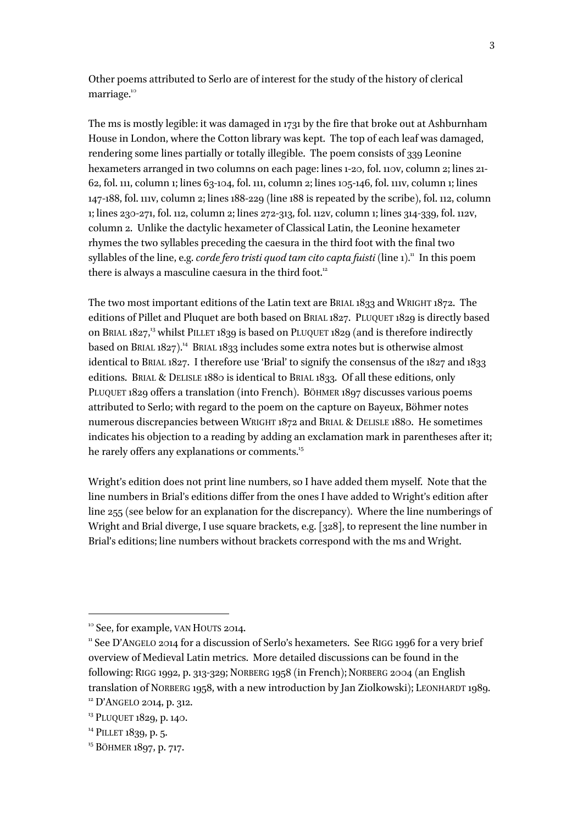Other poems attributed to Serlo are of interest for the study of the history of clerical marriage.<sup>10</sup>

The ms is mostly legible: it was damaged in 1731 by the fire that broke out at Ashburnham House in London, where the Cotton library was kept. The top of each leaf was damaged, rendering some lines partially or totally illegible. The poem consists of 339 Leonine hexameters arranged in two columns on each page: lines 1-20, fol. 110v, column 2; lines 21- 62, fol. 111, column 1; lines 63-104, fol. 111, column 2; lines 105-146, fol. 111v, column 1; lines 147-188, fol. 111v, column 2; lines 188-229 (line 188 is repeated by the scribe), fol. 112, column 1; lines 230-271, fol. 112, column 2; lines 272-313, fol. 112v, column 1; lines 314-339, fol. 112v, column 2. Unlike the dactylic hexameter of Classical Latin, the Leonine hexameter rhymes the two syllables preceding the caesura in the third foot with the final two syllables of the line, e.g. *corde fero tristi quod tam cito capta fuisti* (line 1)." In this poem there is always a masculine caesura in the third foot.<sup>12</sup>

The two most important editions of the Latin text are BRIAL 1833 and WRIGHT 1872. The editions of Pillet and Pluquet are both based on BRIAL 1827. PLUQUET 1829 is directly based on BRIAL 1827,<sup>13</sup> whilst PILLET 1839 is based on PLUQUET 1829 (and is therefore indirectly based on BRIAL 1827).<sup>14</sup> BRIAL 1833 includes some extra notes but is otherwise almost identical to BRIAL 1827. I therefore use 'Brial' to signify the consensus of the 1827 and 1833 editions. BRIAL & DELISLE 1880 is identical to BRIAL 1833. Of all these editions, only PLUQUET 1829 offers a translation (into French). BÖHMER 1897 discusses various poems attributed to Serlo; with regard to the poem on the capture on Bayeux, Böhmer notes numerous discrepancies between WRIGHT 1872 and BRIAL & DELISLE 1880. He sometimes indicates his objection to a reading by adding an exclamation mark in parentheses after it; he rarely offers any explanations or comments.<sup>15</sup>

Wright's edition does not print line numbers, so I have added them myself. Note that the line numbers in Brial's editions differ from the ones I have added to Wright's edition after line 255 (see below for an explanation for the discrepancy). Where the line numberings of Wright and Brial diverge, I use square brackets, e.g. [328], to represent the line number in Brial's editions; line numbers without brackets correspond with the ms and Wright.

<sup>&</sup>lt;sup>10</sup> See, for example, VAN HOUTS 2014.

<sup>&</sup>lt;sup>11</sup> See D'ANGELO 2014 for a discussion of Serlo's hexameters. See RIGG 1996 for a very brief overview of Medieval Latin metrics. More detailed discussions can be found in the following: RIGG 1992, p. 313-329; NORBERG 1958 (in French); NORBERG 2004 (an English translation of NORBERG 1958, with a new introduction by Jan Ziolkowski); LEONHARDT 1989.

<sup>&</sup>lt;sup>12</sup> D'ANGELO 2014, p. 312.

<sup>&</sup>lt;sup>13</sup> PLUQUET 1829, p. 140.

<sup>&</sup>lt;sup>14</sup> PILLET 1839, p. 5.

<sup>15</sup> BÖHMER 1897, p. 717.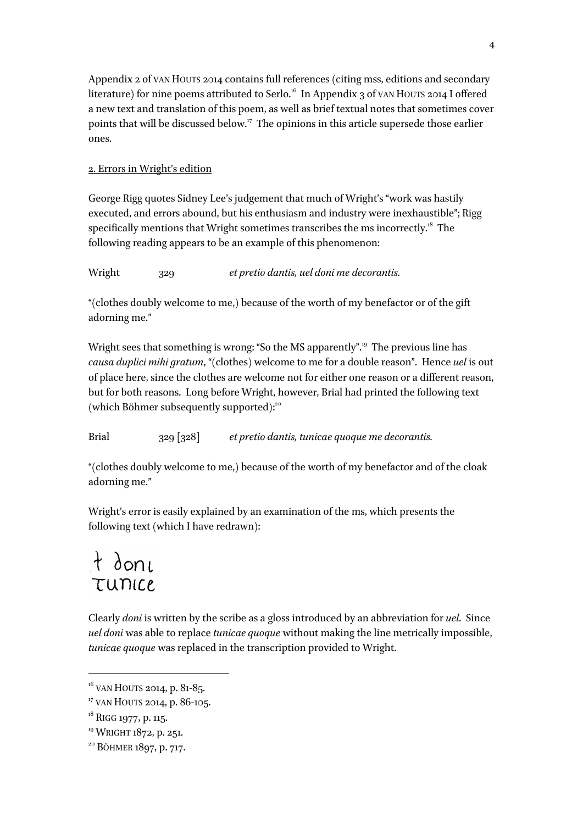Appendix 2 of VAN HOUTS 2014 contains full references (citing mss, editions and secondary literature) for nine poems attributed to Serlo.<sup>16</sup> In Appendix 3 of VAN HOUTS 2014 I offered a new text and translation of this poem, as well as brief textual notes that sometimes cover points that will be discussed below.<sup>17</sup> The opinions in this article supersede those earlier ones.

# 2. Errors in Wright's edition

George Rigg quotes Sidney Lee's judgement that much of Wright's "work was hastily executed, and errors abound, but his enthusiasm and industry were inexhaustible"; Rigg specifically mentions that Wright sometimes transcribes the ms incorrectly.<sup>18</sup> The following reading appears to be an example of this phenomenon:

Wright 329 *et pretio dantis, uel doni me decorantis.*

"(clothes doubly welcome to me,) because of the worth of my benefactor or of the gift adorning me."

Wright sees that something is wrong: "So the MS apparently". 19 The previous line has *causa duplici mihi gratum*, "(clothes) welcome to me for a double reason". Hence *uel* is out of place here, since the clothes are welcome not for either one reason or a different reason, but for both reasons. Long before Wright, however, Brial had printed the following text (which Böhmer subsequently supported):<sup>20</sup>

Brial 329 [328] *et pretio dantis, tunicae quoque me decorantis.*

"(clothes doubly welcome to me,) because of the worth of my benefactor and of the cloak adorning me."

Wright's error is easily explained by an examination of the ms, which presents the following text (which I have redrawn):

# $t$  done TUNICE.

Clearly *doni* is written by the scribe as a gloss introduced by an abbreviation for *uel*. Since *uel doni* was able to replace *tunicae quoque* without making the line metrically impossible, *tunicae quoque* was replaced in the transcription provided to Wright.

 $16$  VAN HOUTS 2014, p. 81-85.

<sup>&</sup>lt;sup>17</sup> VAN HOUTS 2014, p. 86-105.

<sup>&</sup>lt;sup>18</sup> RIGG 1977, p. 115.

<sup>&</sup>lt;sup>19</sup> WRIGHT 1872, p. 251.

<sup>&</sup>lt;sup>20</sup> BÖHMER 1897, p. 717.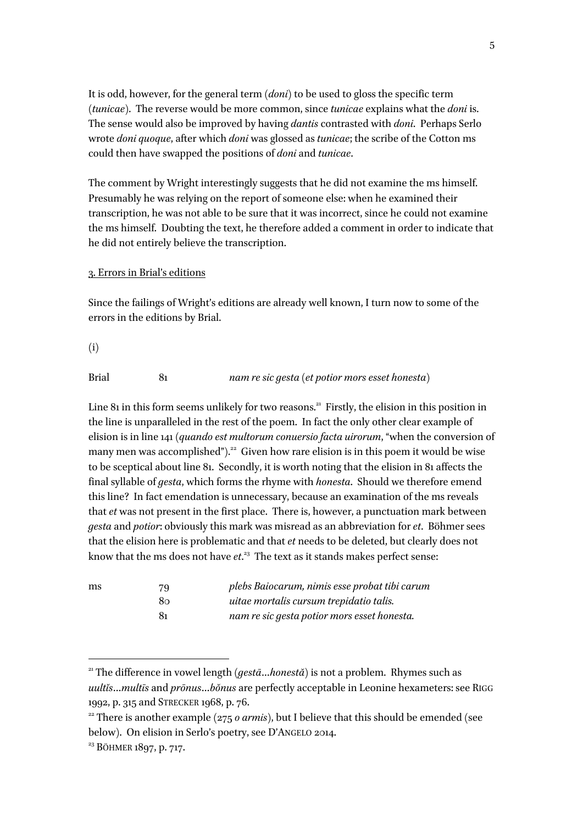It is odd, however, for the general term (*doni*) to be used to gloss the specific term (*tunicae*). The reverse would be more common, since *tunicae* explains what the *doni* is. The sense would also be improved by having *dantis* contrasted with *doni*. Perhaps Serlo wrote *doni quoque*, after which *doni* was glossed as *tunicae*; the scribe of the Cotton ms could then have swapped the positions of *doni* and *tunicae*.

The comment by Wright interestingly suggests that he did not examine the ms himself. Presumably he was relying on the report of someone else: when he examined their transcription, he was not able to be sure that it was incorrect, since he could not examine the ms himself. Doubting the text, he therefore added a comment in order to indicate that he did not entirely believe the transcription.

#### 3. Errors in Brial's editions

Since the failings of Wright's editions are already well known, I turn now to some of the errors in the editions by Brial.

(i)

Brial 81 *nam re sic gesta (et potior mors esset honesta)*

Line 81 in this form seems unlikely for two reasons.<sup>21</sup> Firstly, the elision in this position in the line is unparalleled in the rest of the poem. In fact the only other clear example of elision is in line 141 (*quando est multorum conuersio facta uirorum*, "when the conversion of many men was accomplished").<sup>22</sup> Given how rare elision is in this poem it would be wise to be sceptical about line 81. Secondly, it is worth noting that the elision in 81 affects the final syllable of *gesta*, which forms the rhyme with *honesta*. Should we therefore emend this line? In fact emendation is unnecessary, because an examination of the ms reveals that *et* was not present in the first place. There is, however, a punctuation mark between *gesta* and *potior*: obviously this mark was misread as an abbreviation for *et*. Böhmer sees that the elision here is problematic and that *et* needs to be deleted, but clearly does not know that the ms does not have *et*. <sup>23</sup> The text as it stands makes perfect sense:

| ms | 79 | plebs Baiocarum, nimis esse probat tibi carum |
|----|----|-----------------------------------------------|
|    | 80 | uitae mortalis cursum trepidatio talis.       |
|    | 81 | nam re sic gesta potior mors esset honesta.   |

<sup>21</sup> The difference in vowel length (*gestā*…*honestă*) is not a problem. Rhymes such as *uultĭs*…*multīs* and *prōnus*…*bŏnus* are perfectly acceptable in Leonine hexameters: see RIGG 1992, p. 315 and STRECKER 1968, p. 76.

<sup>&</sup>lt;sup>22</sup> There is another example ( $275$  *o armis*), but I believe that this should be emended (see below). On elision in Serlo's poetry, see D'ANGELO 2014.

<sup>23</sup> BÖHMER 1897, p. 717.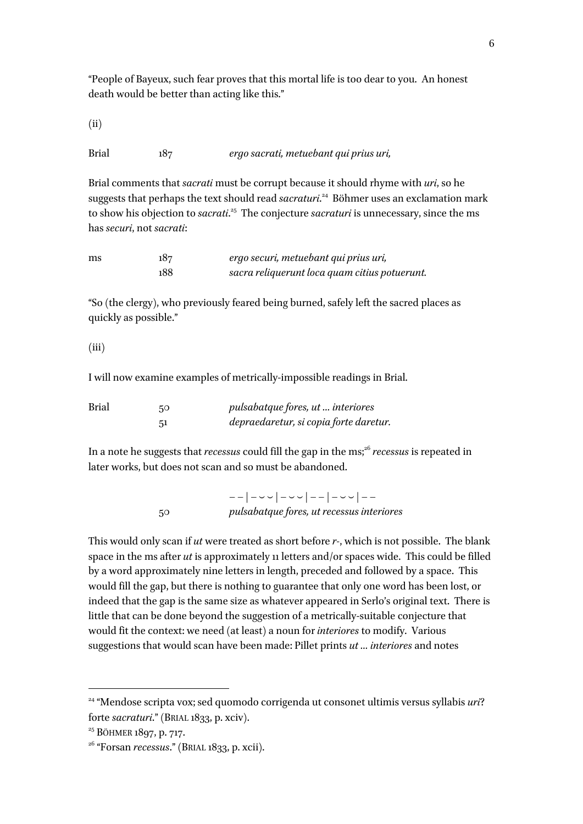"People of Bayeux, such fear proves that this mortal life is too dear to you. An honest death would be better than acting like this."

(ii)

Brial 187 *ergo sacrati, metuebant qui prius uri,*

Brial comments that *sacrati* must be corrupt because it should rhyme with *uri*, so he suggests that perhaps the text should read *sacraturi*. 24 Böhmer uses an exclamation mark to show his objection to *sacrati*. 25 The conjecture *sacraturi* is unnecessary, since the ms has *securi*, not *sacrati*:

| ms | 187 | ergo securi, metuebant qui prius uri,         |  |
|----|-----|-----------------------------------------------|--|
|    | 188 | sacra reliquerunt loca quam citius potuerunt. |  |

"So (the clergy), who previously feared being burned, safely left the sacred places as quickly as possible."

## (iii)

I will now examine examples of metrically-impossible readings in Brial.

| <b>Brial</b> | 50 | <i>pulsabatque fores, ut  interiores</i> |
|--------------|----|------------------------------------------|
|              |    | depraedaretur, si copia forte daretur.   |

In a note he suggests that *recessus* could fill the gap in the ms; <sup>26</sup> *recessus* is repeated in later works, but does not scan and so must be abandoned.

> – – | – ⏑ ⏑ | – ⏑ ⏑ | – – | – ⏑ ⏑ | – – 50 *pulsabatque fores, ut recessus interiores*

This would only scan if *ut* were treated as short before *r-*, which is not possible. The blank space in the ms after *ut* is approximately 11 letters and/or spaces wide. This could be filled by a word approximately nine letters in length, preceded and followed by a space. This would fill the gap, but there is nothing to guarantee that only one word has been lost, or indeed that the gap is the same size as whatever appeared in Serlo's original text. There is little that can be done beyond the suggestion of a metrically-suitable conjecture that would fit the context: we need (at least) a noun for *interiores* to modify. Various suggestions that would scan have been made: Pillet prints *ut … interiores* and notes

<sup>24</sup> "Mendose scripta vox; sed quomodo corrigenda ut consonet ultimis versus syllabis *uri*? forte *sacraturi*." (BRIAL 1833, p. xciv).

<sup>&</sup>lt;sup>25</sup> BÖHMER 1897, p. 717.

<sup>26</sup> "Forsan *recessus*." (BRIAL 1833, p. xcii).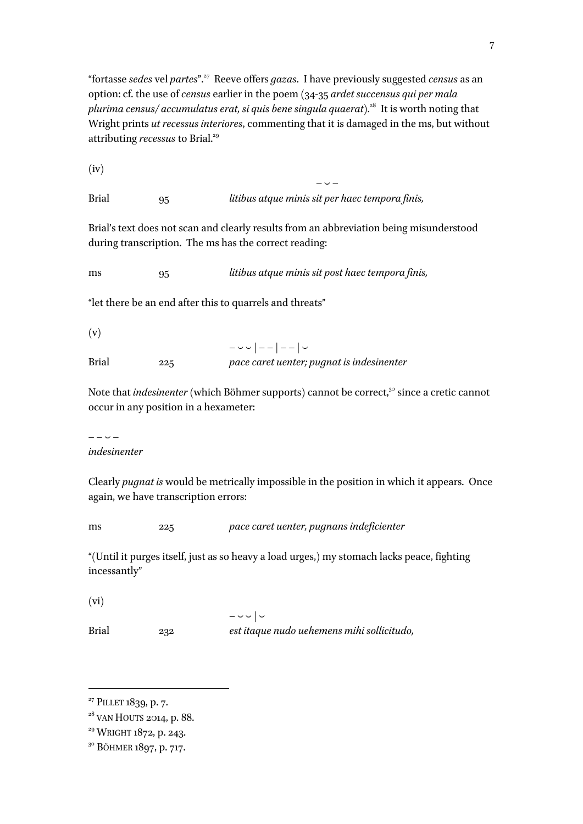"fortasse *sedes* vel *partes*".<sup>27</sup> Reeve offers *gazas*. I have previously suggested *census* as an option: cf. the use of *census* earlier in the poem (34-35 *ardet succensus qui per mala plurima census/ accumulatus erat, si quis bene singula quaerat*).28 It is worth noting that Wright prints *ut recessus interiores*, commenting that it is damaged in the ms, but without attributing *recessus* to Brial.<sup>29</sup>

 $-\sim -$ 

(iv)

Brial 95 *litibus atque minis sit per haec tempora finis,*

Brial's text does not scan and clearly results from an abbreviation being misunderstood during transcription. The ms has the correct reading:

ms 95 *litibus atque minis sit post haec tempora finis,*

"let there be an end after this to quarrels and threats"

(v)

 – ⏑ ⏑ | – – | – – | ⏑ Brial 225 *pace caret uenter; pugnat is indesinenter*

Note that *indesinenter* (which Böhmer supports) cannot be correct,<sup>30</sup> since a cretic cannot occur in any position in a hexameter:

 $- - \sqrt{2}$ *indesinenter*

Clearly *pugnat is* would be metrically impossible in the position in which it appears. Once again, we have transcription errors:

ms 225 *pace caret uenter, pugnans indeficienter*

"(Until it purges itself, just as so heavy a load urges,) my stomach lacks peace, fighting incessantly"

(vi)

 $\overline{a}$ 

 $-\cup$   $-\cup$ Brial 232 *est itaque nudo uehemens mihi sollicitudo,*

<sup>&</sup>lt;sup>27</sup> PILLET 1839, p. 7.

<sup>&</sup>lt;sup>28</sup> VAN HOUTS 2014, p. 88.

<sup>&</sup>lt;sup>29</sup> WRIGHT 1872, p. 243.

<sup>&</sup>lt;sup>30</sup> BÖHMER 1897, p. 717.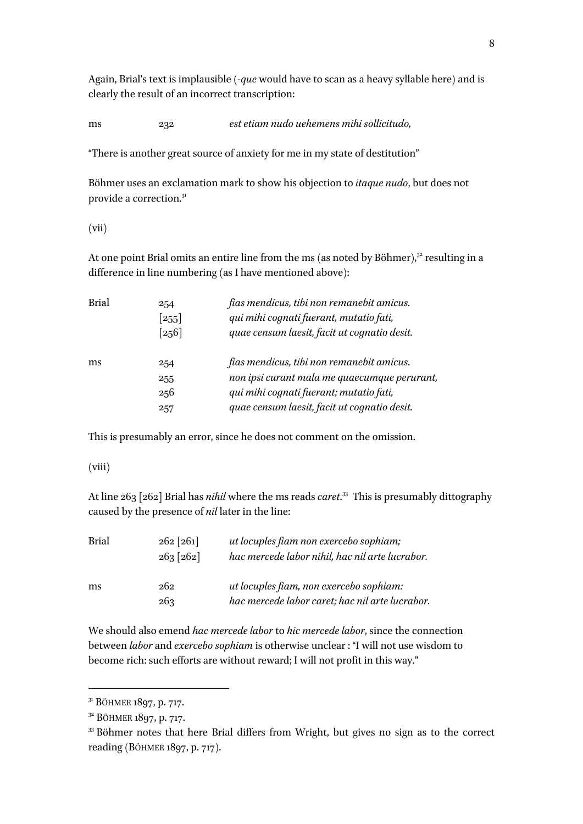Again, Brial's text is implausible (-*que* would have to scan as a heavy syllable here) and is clearly the result of an incorrect transcription:

ms 232 *est etiam nudo uehemens mihi sollicitudo,*

"There is another great source of anxiety for me in my state of destitution"

Böhmer uses an exclamation mark to show his objection to *itaque nudo*, but does not provide a correction.<sup>31</sup>

(vii)

At one point Brial omits an entire line from the ms (as noted by Böhmer),<sup>32</sup> resulting in a difference in line numbering (as I have mentioned above):

| <b>Brial</b> | 254                 | fias mendicus, tibi non remanebit amicus.    |
|--------------|---------------------|----------------------------------------------|
|              | $\lceil 255 \rceil$ | qui mihi cognati fuerant, mutatio fati,      |
|              | $\lceil 256 \rceil$ | quae censum laesit, facit ut cognatio desit. |
| ms           | 254                 | fias mendicus, tibi non remanebit amicus.    |
|              | 255                 | non ipsi curant mala me quaecumque perurant, |
|              | 256                 | qui mihi cognati fuerant; mutatio fati,      |
|              | 257                 | quae censum laesit, facit ut cognatio desit. |

This is presumably an error, since he does not comment on the omission.

(viii)

At line 263 [262] Brial has *nihil* where the ms reads *caret*. 33 This is presumably dittography caused by the presence of *nil* later in the line:

| <b>Brial</b> | $262 \, [261]$<br>$263 \, [262]$ | ut locuples fiam non exercebo sophiam;<br>hac mercede labor nihil, hac nil arte lucrabor.  |
|--------------|----------------------------------|--------------------------------------------------------------------------------------------|
| ms           | 262<br>263                       | ut locuples fiam, non exercebo sophiam:<br>hac mercede labor caret; hac nil arte lucrabor. |

We should also emend *hac mercede labor* to *hic mercede labor*, since the connection between *labor* and *exercebo sophiam* is otherwise unclear : "I will not use wisdom to become rich: such efforts are without reward; I will not profit in this way."

<sup>&</sup>lt;sup>31</sup> BÖHMER 1897, p. 717.

<sup>32</sup> BÖHMER 1897, p. 717.

<sup>&</sup>lt;sup>33</sup> Böhmer notes that here Brial differs from Wright, but gives no sign as to the correct reading (BÖHMER 1897, p. 717).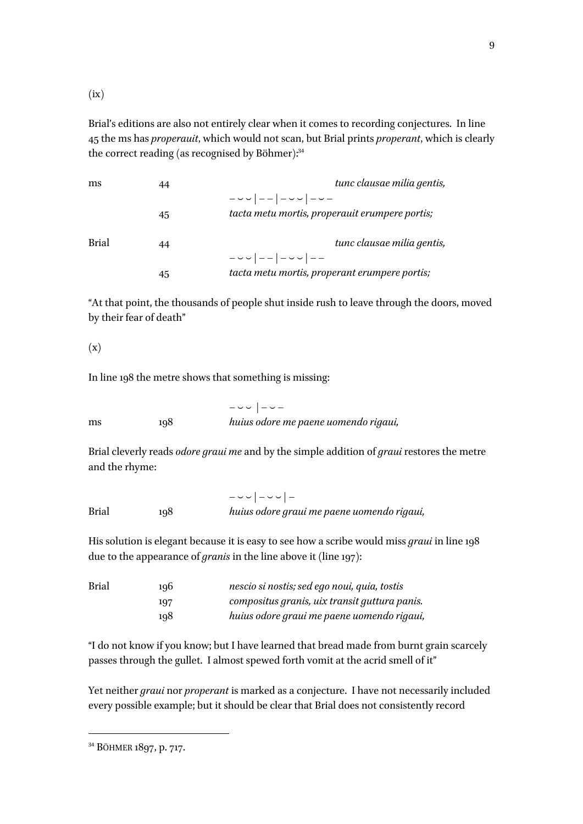$(ix)$ 

Brial's editions are also not entirely clear when it comes to recording conjectures. In line 45 the ms has *properauit*, which would not scan, but Brial prints *properant*, which is clearly the correct reading (as recognised by Böhmer):<sup>34</sup>

| ms           | 44 | tunc clausae milia gentis,                     |
|--------------|----|------------------------------------------------|
|              |    | $         -$                                   |
|              | 45 | tacta metu mortis, properauit erumpere portis; |
| <b>Brial</b> | 44 | tunc clausae milia gentis,                     |
|              |    |                                                |
|              | 45 | tacta metu mortis, properant erumpere portis;  |

"At that point, the thousands of people shut inside rush to leave through the doors, moved by their fear of death"

## (x)

In line 198 the metre shows that something is missing:

 $-\sim |-\sim$ ms 198 *huius odore me paene uomendo rigaui,*

Brial cleverly reads *odore graui me* and by the simple addition of *graui* restores the metre and the rhyme:

 $-$ Brial 198 *huius odore graui me paene uomendo rigaui,*

His solution is elegant because it is easy to see how a scribe would miss *graui* in line 198 due to the appearance of *granis* in the line above it (line 197):

| <b>Brial</b> | 196 | nescio si nostis; sed ego noui, quia, tostis  |
|--------------|-----|-----------------------------------------------|
|              | 197 | compositus granis, uix transit guttura panis. |
|              | 198 | huius odore graui me paene uomendo rigaui,    |

"I do not know if you know; but I have learned that bread made from burnt grain scarcely passes through the gullet. I almost spewed forth vomit at the acrid smell of it"

Yet neither *graui* nor *properant* is marked as a conjecture. I have not necessarily included every possible example; but it should be clear that Brial does not consistently record

<sup>34</sup> BÖHMER 1897, p. 717.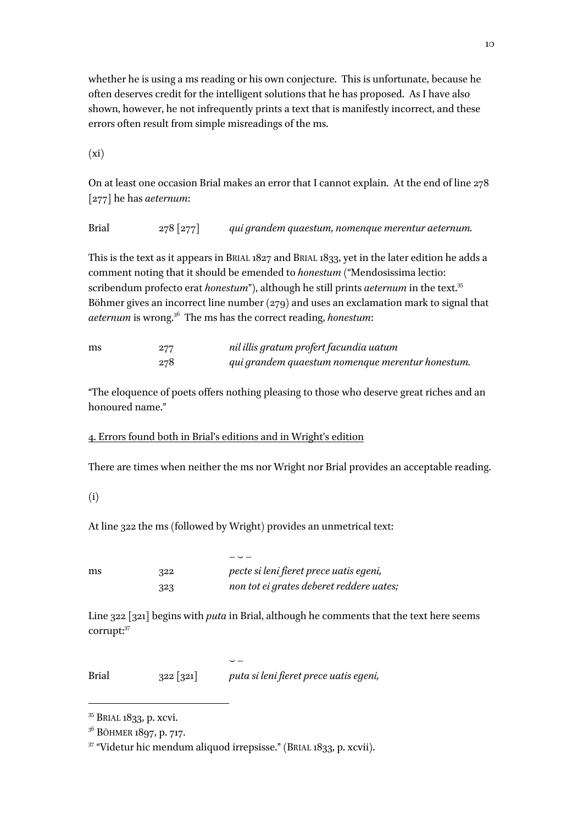whether he is using a ms reading or his own conjecture. This is unfortunate, because he often deserves credit for the intelligent solutions that he has proposed. As I have also shown, however, he not infrequently prints a text that is manifestly incorrect, and these errors often result from simple misreadings of the ms.

 $(xi)$ 

On at least one occasion Brial makes an error that I cannot explain. At the end of line 278 [277] he has *aeternum*:

Brial 278 [277] *qui grandem quaestum, nomenque merentur aeternum.*

This is the text as it appears in BRIAL 1827 and BRIAL 1833, yet in the later edition he adds a comment noting that it should be emended to *honestum* ("Mendosissima lectio: scribendum profecto erat *honestum*"), although he still prints *aeternum* in the text. 35 Böhmer gives an incorrect line number (279) and uses an exclamation mark to signal that *aeternum* is wrong.36 The ms has the correct reading, *honestum*:

| ms | 277 | nil illis gratum profert facundia uatum          |
|----|-----|--------------------------------------------------|
|    | 278 | qui grandem quaestum nomenque merentur honestum. |

"The eloquence of poets offers nothing pleasing to those who deserve great riches and an honoured name."

4. Errors found both in Brial's editions and in Wright's edition

There are times when neither the ms nor Wright nor Brial provides an acceptable reading.

(i)

 $\overline{a}$ 

At line 322 the ms (followed by Wright) provides an unmetrical text:

 $-\sim$ ms 322 *pectesi leni fieret prece uatis egeni,* 323 *non tot ei grates deberet reddere uates;* 

Line 322 [321] begins with *puta* in Brial, although he comments that the text here seems corrupt: 37

 $\overline{\phantom{a}}$ Brial 322 [321] *puta si leni fieret prece uatis egeni,*

<sup>&</sup>lt;sup>35</sup> BRIAL 1833, p. xcvi.

<sup>&</sup>lt;sup>36</sup> BÖHMER 1897, p. 717.

<sup>&</sup>lt;sup>37</sup> "Videtur hic mendum aliquod irrepsisse." (BRIAL 1833, p. xcvii).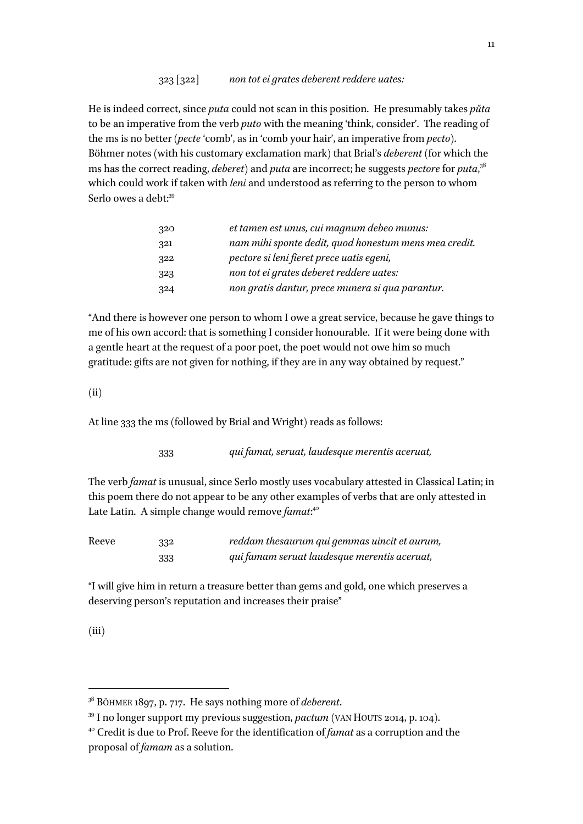### 323 [322] *non tot ei grates deberent reddere uates:*

He is indeed correct, since *puta* could not scan in this position. He presumably takes *pŭta*  to be an imperative from the verb *puto* with the meaning 'think, consider'. The reading of the ms is no better (*pecte*'comb', as in 'comb your hair', an imperative from *pecto*). Böhmer notes (with his customary exclamation mark) that Brial's *deberent* (for which the ms has the correct reading, *deberet*) and *puta* are incorrect; he suggests *pectore*for *puta*, 38 which could work if taken with *leni* and understood as referring to the person to whom Serlo owes a debt:<sup>39</sup>

| 320 | et tamen est unus, cui magnum debeo munus:            |
|-----|-------------------------------------------------------|
| 321 | nam mihi sponte dedit, quod honestum mens mea credit. |
| 322 | pectore si leni fieret prece uatis egeni,             |
| 323 | non tot ei grates deberet reddere uates:              |
| 324 | non gratis dantur, prece munera si qua parantur.      |

"And there is however one person to whom I owe a great service, because he gave things to me of his own accord: that is something I consider honourable. If it were being done with a gentle heart at the request of a poor poet, the poet would not owe him so much gratitude: gifts are not given for nothing, if they are in any way obtained by request."

 $(ii)$ 

At line 333 the ms (followed by Brial and Wright) reads as follows:

333 *qui famat, seruat, laudesque merentis aceruat,*

The verb *famat* is unusual, since Serlo mostly uses vocabulary attested in Classical Latin; in this poem there do not appear to be any other examples of verbs that are only attested in Late Latin. A simple change would remove *famat*:<sup>40</sup>

| Reeve | 332 | reddam thesaurum qui gemmas uincit et aurum, |
|-------|-----|----------------------------------------------|
|       | 333 | qui famam seruat laudesque merentis aceruat, |

"I will give him in return a treasure better than gems and gold, one which preserves a deserving person's reputation and increases their praise"

(iii)

<sup>38</sup> BÖHMER 1897, p. 717. He says nothing more of *deberent*.

<sup>39</sup> I no longer support my previous suggestion, *pactum* (VAN HOUTS 2014, p. 104).

<sup>40</sup> Credit is due to Prof. Reeve for the identification of *famat* as a corruption and the proposal of *famam* as a solution.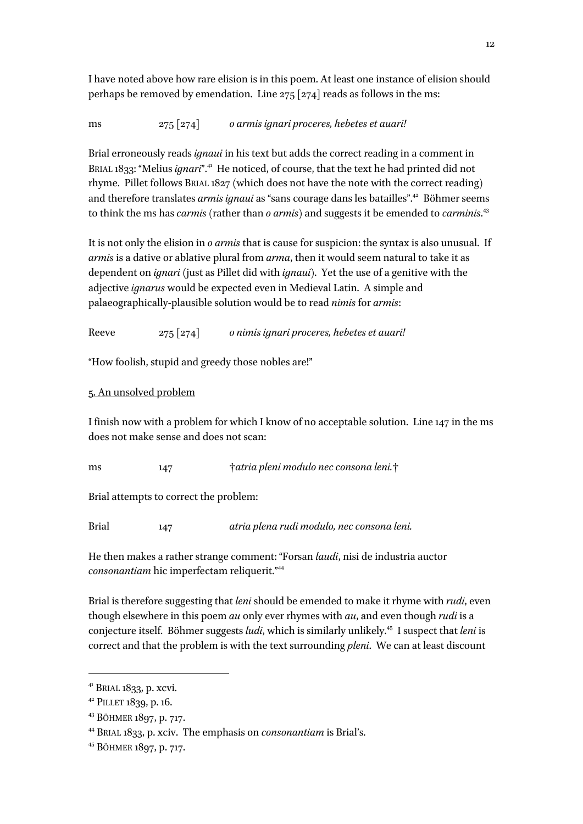I have noted above how rare elision is in this poem. At least one instance of elision should perhaps be removed by emendation. Line 275 [274] reads as follows in the ms:

ms 275 [274] *o armis ignari proceres, hebetes et auari!*

Brial erroneously reads *ignaui* in his text but adds the correct reading in a comment in BRIAL 1833: "Melius *ignari*".<sup>41</sup> He noticed, of course, that the text he had printed did not rhyme. Pillet follows BRIAL 1827 (which does not have the note with the correct reading) and therefore translates *armis ignaui* as "sans courage dans les batailles".<sup>42</sup> Böhmer seems to think the ms has *carmis* (rather than *o armis*) and suggests it be emended to *carminis*. 43

It is not only the elision in *o armis* that is cause for suspicion: the syntax is also unusual. If *armis* is a dative or ablative plural from *arma*, then it would seem natural to take it as dependent on *ignari* (just as Pillet did with *ignaui*). Yet the use of a genitive with the adjective *ignarus* would be expected even in Medieval Latin. A simple and palaeographically-plausible solution would be to read *nimis* for *armis*:

Reeve 275 [274] *o nimis ignari proceres, hebetes et auari!*

"How foolish, stupid and greedy those nobles are!"

# 5. An unsolved problem

I finish now with a problem for which I know of no acceptable solution. Line 147 in the ms does not make sense and does not scan:

ms 147 †*atria pleni modulo nec consona leni.*†

Brial attempts to correct the problem:

Brial 147 *atria plena rudi modulo, nec consona leni.*

He then makes a rather strange comment: "Forsan *laudi*, nisi de industria auctor *consonantiam* hic imperfectam reliquerit."44

Brial is therefore suggesting that *leni* should be emended to make it rhyme with *rudi*, even though elsewhere in this poem *au* only ever rhymes with *au*, and even though *rudi* is a conjecture itself. Böhmer suggests *ludi*, which is similarly unlikely.45 I suspect that *leni* is correct and that the problem is with the text surrounding *pleni*. We can at least discount

 $41$  BRIAL 1833, p. xcvi.

<sup>42</sup> PILLET 1839, p. 16.

<sup>43</sup> BÖHMER 1897, p. 717.

<sup>44</sup> BRIAL 1833, p. xciv. The emphasis on *consonantiam* is Brial's.

<sup>45</sup> BÖHMER 1897, p. 717.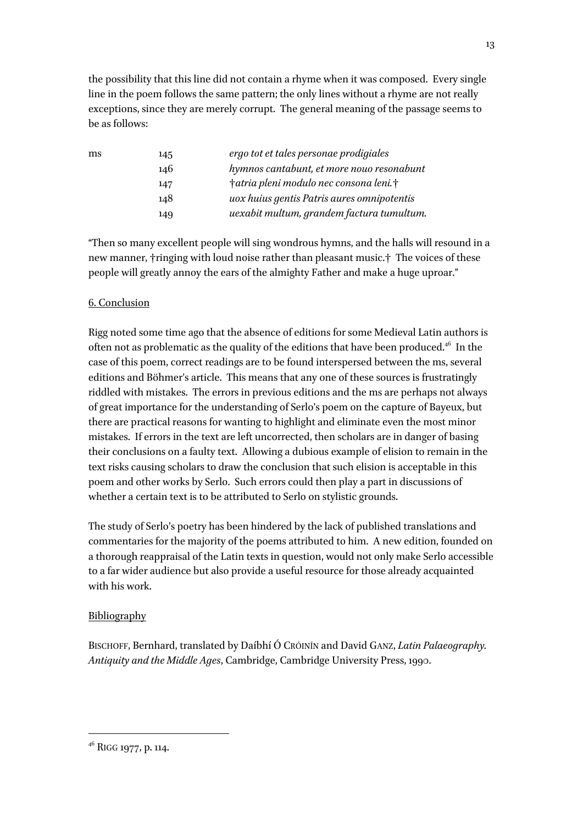the possibility that this line did not contain a rhyme when it was composed. Every single line in the poem follows the same pattern; the only lines without a rhyme are not really exceptions, since they are merely corrupt. The general meaning of the passage seems to be as follows:

| ms | 145 | ergo tot et tales personae prodigiales     |
|----|-----|--------------------------------------------|
|    | 146 | hymnos cantabunt, et more nouo resonabunt  |
|    | 147 | †atria pleni modulo nec consona leni.†     |
|    | 148 | uox huius gentis Patris aures omnipotentis |
|    | 149 | uexabit multum, grandem factura tumultum.  |

"Then so many excellent people will sing wondrous hymns, and the halls will resound in a new manner, †ringing with loud noise rather than pleasant music.† The voices of these people will greatly annoy the ears of the almighty Father and make a huge uproar."

# 6. Conclusion

Rigg noted some time ago that the absence of editions for some Medieval Latin authors is often not as problematic as the quality of the editions that have been produced. $46$  In the case of this poem, correct readings are to be found interspersed between the ms, several editions and Böhmer's article. This means that any one of these sources is frustratingly riddled with mistakes. The errors in previous editions and the ms are perhaps not always of great importance for the understanding of Serlo's poem on the capture of Bayeux, but there are practical reasons for wanting to highlight and eliminate even the most minor mistakes. If errors in the text are left uncorrected, then scholars are in danger of basing their conclusions on a faulty text. Allowing a dubious example of elision to remain in the text risks causing scholars to draw the conclusion that such elision is acceptable in this poem and other works by Serlo. Such errors could then play a part in discussions of whether a certain text is to be attributed to Serlo on stylistic grounds.

The study of Serlo's poetry has been hindered by the lack of published translations and commentaries for the majority of the poems attributed to him. A new edition, founded on a thorough reappraisal of the Latin texts in question, would not only make Serlo accessible to a far wider audience but also provide a useful resource for those already acquainted with his work.

## Bibliography

BISCHOFF, Bernhard, translated by Daíbhí Ó CRÓINÍN and David GANZ, *Latin Palaeography. Antiquity and the Middle Ages*, Cambridge, Cambridge University Press, 1990.

<sup>&</sup>lt;sup>46</sup> RIGG 1977, p. 114.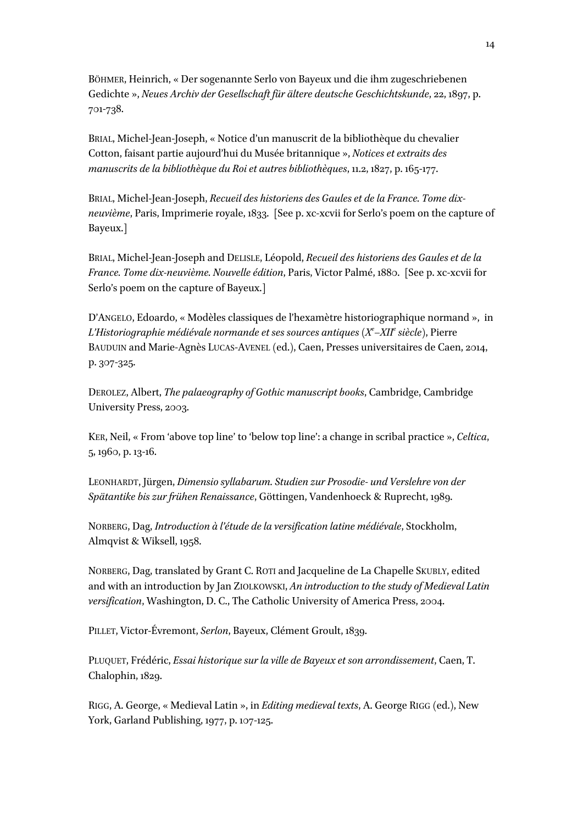BÖHMER, Heinrich, « Der sogenannte Serlo von Bayeux und die ihm zugeschriebenen Gedichte », *Neues Archiv der Gesellschaft für ältere deutsche Geschichtskunde*, 22, 1897, p. 701-738.

BRIAL, Michel-Jean-Joseph, « Notice d'un manuscrit de la bibliothèque du chevalier Cotton, faisant partie aujourd'hui du Musée britannique », *Notices et extraits des manuscrits de la bibliothèque du Roi et autres bibliothèques*, 11.2, 1827, p. 165-177.

BRIAL, Michel-Jean-Joseph, *Recueil des historiens des Gaules et de la France. Tome dixneuvième*, Paris, Imprimerie royale, 1833. [See p. xc-xcvii for Serlo's poem on the capture of Bayeux.]

BRIAL, Michel-Jean-Joseph and DELISLE, Léopold, *Recueil des historiens des Gaules et de la France. Tome dix-neuvième. Nouvelle édition*, Paris, Victor Palmé, 1880. [See p. xc-xcvii for Serlo's poem on the capture of Bayeux.]

D'ANGELO, Edoardo, « Modèles classiques de l'hexamètre historiographique normand », in *L'Historiographie médiévale normande et ses sources antiques (Xe –XIIe siècle)*, Pierre BAUDUIN and Marie-Agnès LUCAS-AVENEL (ed.), Caen, Presses universitaires de Caen, 2014, p. 307-325.

DEROLEZ, Albert, *The palaeography of Gothic manuscript books*, Cambridge, Cambridge University Press, 2003.

KER, Neil, « From 'above top line' to 'below top line': a change in scribal practice », *Celtica*, 5, 1960, p. 13-16.

LEONHARDT, Jürgen, *Dimensio syllabarum. Studien zur Prosodie- und Verslehre von der Spätantike bis zur frühen Renaissance*, Göttingen, Vandenhoeck & Ruprecht, 1989.

NORBERG, Dag, *Introduction à l'étude de la versification latine médiévale*, Stockholm, Almqvist & Wiksell, 1958.

NORBERG, Dag, translated by Grant C. ROTI and Jacqueline de La Chapelle SKUBLY, edited and with an introduction by Jan ZIOLKOWSKI, *An introduction to the study of Medieval Latin versification*, Washington, D. C., The Catholic University of America Press, 2004.

PILLET, Victor-Évremont, *Serlon*, Bayeux, Clément Groult, 1839.

PLUQUET, Frédéric, *Essai historique sur la ville de Bayeux et son arrondissement*, Caen, T. Chalophin, 1829.

RIGG, A. George, « Medieval Latin », in *Editing medieval texts*, A. George RIGG (ed.), New York, Garland Publishing, 1977, p. 107-125.